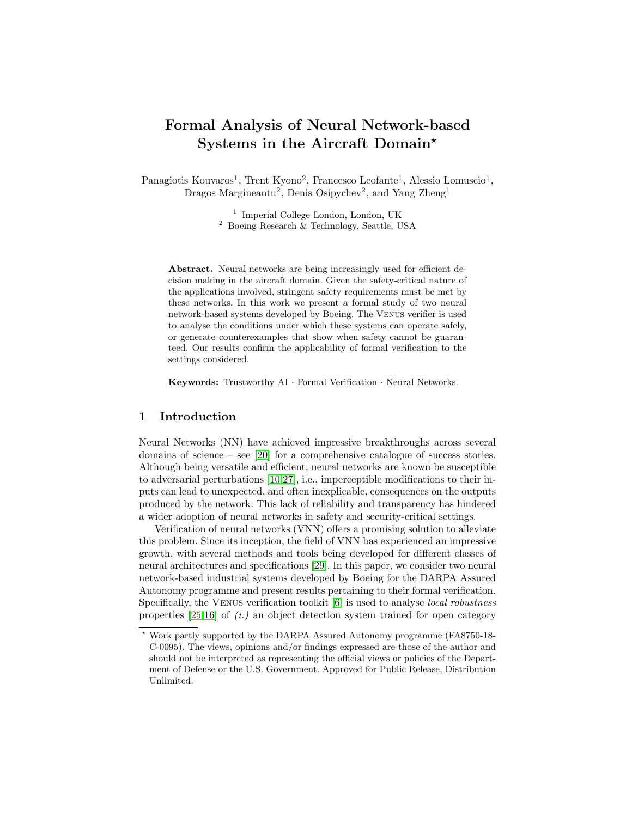# Formal Analysis of Neural Network-based Systems in the Aircraft Domain?

Panagiotis Kouvaros<sup>1</sup>, Trent Kyono<sup>2</sup>, Francesco Leofante<sup>1</sup>, Alessio Lomuscio<sup>1</sup>, Dragos Margineantu<sup>2</sup>, Denis Osipychev<sup>2</sup>, and Yang Zheng<sup>1</sup>

> <sup>1</sup> Imperial College London, London, UK <sup>2</sup> Boeing Research & Technology, Seattle, USA

Abstract. Neural networks are being increasingly used for efficient decision making in the aircraft domain. Given the safety-critical nature of the applications involved, stringent safety requirements must be met by these networks. In this work we present a formal study of two neural network-based systems developed by Boeing. The Venus verifier is used to analyse the conditions under which these systems can operate safely, or generate counterexamples that show when safety cannot be guaranteed. Our results confirm the applicability of formal verification to the settings considered.

Keywords: Trustworthy AI · Formal Verification · Neural Networks.

# 1 Introduction

Neural Networks (NN) have achieved impressive breakthroughs across several domains of science – see [\[20\]](#page-9-0) for a comprehensive catalogue of success stories. Although being versatile and efficient, neural networks are known be susceptible to adversarial perturbations [\[10](#page-8-0)[,27\]](#page-9-1), i.e., imperceptible modifications to their inputs can lead to unexpected, and often inexplicable, consequences on the outputs produced by the network. This lack of reliability and transparency has hindered a wider adoption of neural networks in safety and security-critical settings.

Verification of neural networks (VNN) offers a promising solution to alleviate this problem. Since its inception, the field of VNN has experienced an impressive growth, with several methods and tools being developed for different classes of neural architectures and specifications [\[29\]](#page-9-2). In this paper, we consider two neural network-based industrial systems developed by Boeing for the DARPA Assured Autonomy programme and present results pertaining to their formal verification. Specifically, the Venus verification toolkit [\[6\]](#page-8-1) is used to analyse local robustness properties  $[25,16]$  $[25,16]$  of  $(i.)$  an object detection system trained for open category

<sup>?</sup> Work partly supported by the DARPA Assured Autonomy programme (FA8750-18- C-0095). The views, opinions and/or findings expressed are those of the author and should not be interpreted as representing the official views or policies of the Department of Defense or the U.S. Government. Approved for Public Release, Distribution Unlimited.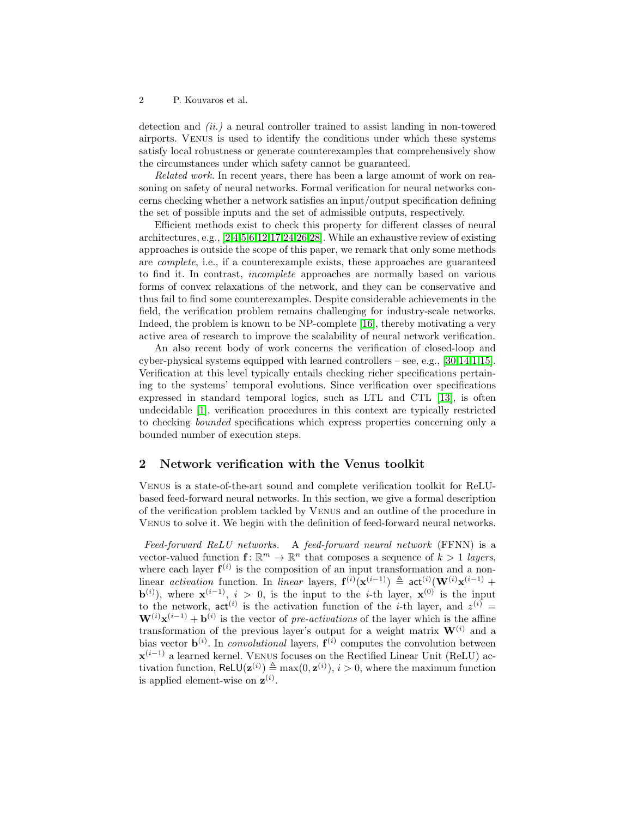#### 2 P. Kouvaros et al.

detection and (ii.) a neural controller trained to assist landing in non-towered airports. Venus is used to identify the conditions under which these systems satisfy local robustness or generate counterexamples that comprehensively show the circumstances under which safety cannot be guaranteed.

Related work. In recent years, there has been a large amount of work on reasoning on safety of neural networks. Formal verification for neural networks concerns checking whether a network satisfies an input/output specification defining the set of possible inputs and the set of admissible outputs, respectively.

Efficient methods exist to check this property for different classes of neural architectures, e.g., [\[2,](#page-8-2)[4,](#page-8-3)[5,](#page-8-4)[6](#page-8-1)[,12,](#page-8-5)[17,](#page-9-5)[24,](#page-9-6)[26](#page-9-7)[,28\]](#page-9-8). While an exhaustive review of existing approaches is outside the scope of this paper, we remark that only some methods are complete, i.e., if a counterexample exists, these approaches are guaranteed to find it. In contrast, incomplete approaches are normally based on various forms of convex relaxations of the network, and they can be conservative and thus fail to find some counterexamples. Despite considerable achievements in the field, the verification problem remains challenging for industry-scale networks. Indeed, the problem is known to be NP-complete [\[16\]](#page-9-4), thereby motivating a very active area of research to improve the scalability of neural network verification.

An also recent body of work concerns the verification of closed-loop and cyber-physical systems equipped with learned controllers – see, e.g.,  $[30,14,1,15]$  $[30,14,1,15]$  $[30,14,1,15]$  $[30,14,1,15]$ . Verification at this level typically entails checking richer specifications pertaining to the systems' temporal evolutions. Since verification over specifications expressed in standard temporal logics, such as LTL and CTL [\[13\]](#page-9-12), is often undecidable [\[1\]](#page-8-6), verification procedures in this context are typically restricted to checking bounded specifications which express properties concerning only a bounded number of execution steps.

### <span id="page-1-0"></span>2 Network verification with the Venus toolkit

Venus is a state-of-the-art sound and complete verification toolkit for ReLUbased feed-forward neural networks. In this section, we give a formal description of the verification problem tackled by Venus and an outline of the procedure in Venus to solve it. We begin with the definition of feed-forward neural networks.

Feed-forward ReLU networks. A feed-forward neural network (FFNN) is a vector-valued function  $f: \mathbb{R}^m \to \mathbb{R}^n$  that composes a sequence of  $k > 1$  layers, where each layer  $f^{(i)}$  is the composition of an input transformation and a nonlinear activation function. In linear layers,  $f^{(i)}(x^{(i-1)}) \triangleq act^{(i)}(W^{(i)}x^{(i-1)} +$ **b**<sup>(i)</sup>), where  $\mathbf{x}^{(i-1)}$ ,  $i > 0$ , is the input to the *i*-th layer,  $\mathbf{x}^{(0)}$  is the input to the network,  $\text{act}^{(i)}$  is the activation function of the *i*-th layer, and  $z^{(i)}$  =  $\mathbf{W}^{(i)}\mathbf{x}^{(i-1)} + \mathbf{b}^{(i)}$  is the vector of pre-activations of the layer which is the affine transformation of the previous layer's output for a weight matrix  $\mathbf{W}^{(i)}$  and a bias vector  $\mathbf{b}^{(i)}$ . In *convolutional* layers,  $\mathbf{f}^{(i)}$  computes the convolution between  $\mathbf{x}^{(i-1)}$  a learned kernel. VENUS focuses on the Rectified Linear Unit (ReLU) activation function,  $\text{ReLU}(\mathbf{z}^{(i)}) \triangleq \max(0, \mathbf{z}^{(i)}), i > 0$ , where the maximum function is applied element-wise on  $\mathbf{z}^{(i)}$ .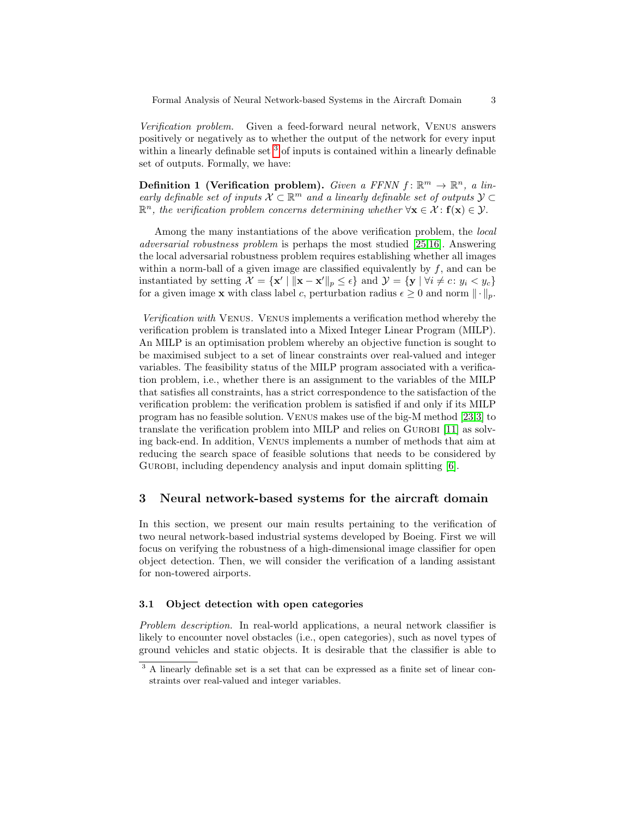Verification problem. Given a feed-forward neural network, Venus answers positively or negatively as to whether the output of the network for every input within a linearly definable set <sup>[3](#page-2-0)</sup> of inputs is contained within a linearly definable set of outputs. Formally, we have:

Definition 1 (Verification problem). Given a FFNN  $f: \mathbb{R}^m \to \mathbb{R}^n$ , a linearly definable set of inputs  $\mathcal{X} \subset \mathbb{R}^m$  and a linearly definable set of outputs  $\mathcal{Y} \subset$  $\mathbb{R}^n$ , the verification problem concerns determining whether  $\forall \mathbf{x} \in \mathcal{X} : \mathbf{f}(\mathbf{x}) \in \mathcal{Y}$ .

Among the many instantiations of the above verification problem, the local adversarial robustness problem is perhaps the most studied [\[25,](#page-9-3)[16\]](#page-9-4). Answering the local adversarial robustness problem requires establishing whether all images within a norm-ball of a given image are classified equivalently by  $f$ , and can be instantiated by setting  $\mathcal{X} = \{ \mathbf{x}' \mid ||\mathbf{x} - \mathbf{x}'||_p \le \epsilon \}$  and  $\mathcal{Y} = \{ \mathbf{y} \mid \forall i \neq c : y_i < y_c \}$ for a given image **x** with class label c, perturbation radius  $\epsilon \geq 0$  and norm  $\|\cdot\|_p$ .

Verification with Venus. Venus implements a verification method whereby the verification problem is translated into a Mixed Integer Linear Program (MILP). An MILP is an optimisation problem whereby an objective function is sought to be maximised subject to a set of linear constraints over real-valued and integer variables. The feasibility status of the MILP program associated with a verification problem, i.e., whether there is an assignment to the variables of the MILP that satisfies all constraints, has a strict correspondence to the satisfaction of the verification problem: the verification problem is satisfied if and only if its MILP program has no feasible solution. Venus makes use of the big-M method [\[23,](#page-9-13)[3\]](#page-8-7) to translate the verification problem into MILP and relies on Gurobi [\[11\]](#page-8-8) as solving back-end. In addition, Venus implements a number of methods that aim at reducing the search space of feasible solutions that needs to be considered by GUROBI, including dependency analysis and input domain splitting [\[6\]](#page-8-1).

# <span id="page-2-1"></span>3 Neural network-based systems for the aircraft domain

In this section, we present our main results pertaining to the verification of two neural network-based industrial systems developed by Boeing. First we will focus on verifying the robustness of a high-dimensional image classifier for open object detection. Then, we will consider the verification of a landing assistant for non-towered airports.

## 3.1 Object detection with open categories

Problem description. In real-world applications, a neural network classifier is likely to encounter novel obstacles (i.e., open categories), such as novel types of ground vehicles and static objects. It is desirable that the classifier is able to

<span id="page-2-0"></span><sup>&</sup>lt;sup>3</sup> A linearly definable set is a set that can be expressed as a finite set of linear constraints over real-valued and integer variables.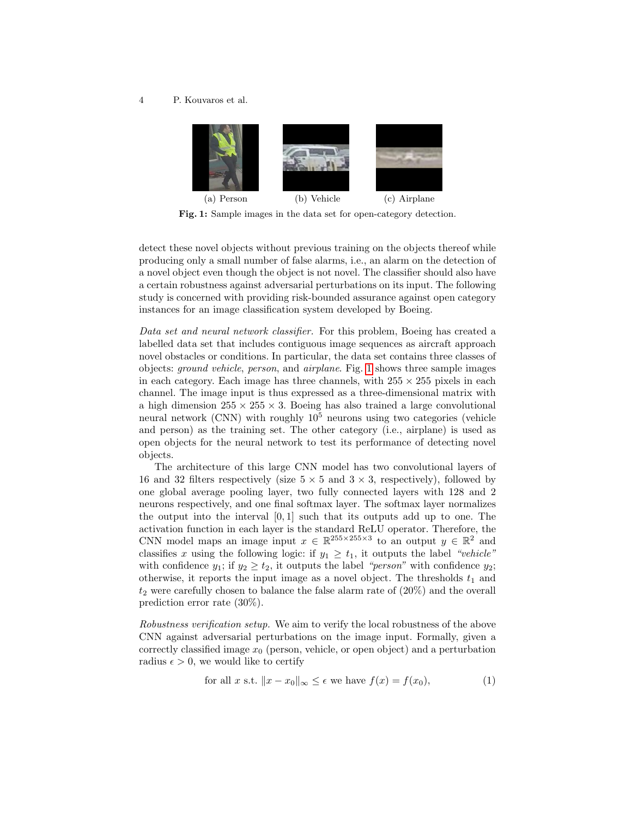#### <span id="page-3-0"></span>4 P. Kouvaros et al.

<span id="page-3-2"></span>

Fig. 1: Sample images in the data set for open-category detection.

detect these novel objects without previous training on the objects thereof while producing only a small number of false alarms, i.e., an alarm on the detection of a novel object even though the object is not novel. The classifier should also have a certain robustness against adversarial perturbations on its input. The following study is concerned with providing risk-bounded assurance against open category instances for an image classification system developed by Boeing.

Data set and neural network classifier. For this problem, Boeing has created a labelled data set that includes contiguous image sequences as aircraft approach novel obstacles or conditions. In particular, the data set contains three classes of objects: ground vehicle, person, and airplane. Fig. [1](#page-3-0) shows three sample images in each category. Each image has three channels, with  $255 \times 255$  pixels in each channel. The image input is thus expressed as a three-dimensional matrix with a high dimension  $255 \times 255 \times 3$ . Boeing has also trained a large convolutional neural network (CNN) with roughly  $10^5$  neurons using two categories (vehicle and person) as the training set. The other category (i.e., airplane) is used as open objects for the neural network to test its performance of detecting novel objects.

The architecture of this large CNN model has two convolutional layers of 16 and 32 filters respectively (size  $5 \times 5$  and  $3 \times 3$ , respectively), followed by one global average pooling layer, two fully connected layers with 128 and 2 neurons respectively, and one final softmax layer. The softmax layer normalizes the output into the interval  $[0, 1]$  such that its outputs add up to one. The activation function in each layer is the standard ReLU operator. Therefore, the CNN model maps an image input  $x \in \mathbb{R}^{255 \times 255 \times 3}$  to an output  $y \in \mathbb{R}^2$  and classifies x using the following logic: if  $y_1 \geq t_1$ , it outputs the label "vehicle" with confidence  $y_1$ ; if  $y_2 \ge t_2$ , it outputs the label "*person*" with confidence  $y_2$ ; otherwise, it reports the input image as a novel object. The thresholds  $t_1$  and  $t_2$  were carefully chosen to balance the false alarm rate of  $(20\%)$  and the overall prediction error rate (30%).

Robustness verification setup. We aim to verify the local robustness of the above CNN against adversarial perturbations on the image input. Formally, given a correctly classified image  $x_0$  (person, vehicle, or open object) and a perturbation radius  $\epsilon > 0$ , we would like to certify

<span id="page-3-1"></span>for all x s.t. 
$$
||x - x_0||_{\infty} \le \epsilon
$$
 we have  $f(x) = f(x_0)$ ,  $(1)$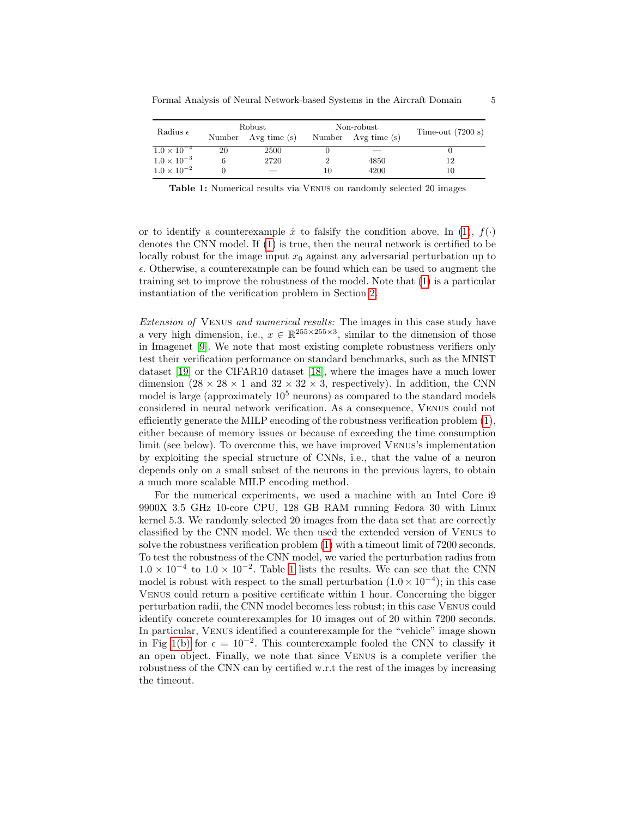<span id="page-4-0"></span>

| Radius $\epsilon$    | Robust |                          |    | Non-robust          | Time-out $(7200 s)$ |  |
|----------------------|--------|--------------------------|----|---------------------|---------------------|--|
|                      |        | Number Avg time (s)      |    | Number Avg time (s) |                     |  |
| $1.0 \times 10^{-4}$ | 20     | 2500                     |    |                     |                     |  |
| $1.0 \times 10^{-3}$ |        | 2720                     |    | 4850                | 12                  |  |
| $1.0 \times 10^{-2}$ |        | $\overline{\phantom{a}}$ | 10 | 4200                | 10                  |  |

Table 1: Numerical results via Venus on randomly selected 20 images

or to identify a counterexample  $\hat{x}$  to falsify the condition above. In [\(1\)](#page-3-1),  $f(\cdot)$ denotes the CNN model. If [\(1\)](#page-3-1) is true, then the neural network is certified to be locally robust for the image input  $x_0$  against any adversarial perturbation up to  $\epsilon$ . Otherwise, a counterexample can be found which can be used to augment the training set to improve the robustness of the model. Note that [\(1\)](#page-3-1) is a particular instantiation of the verification problem in Section [2.](#page-1-0)

Extension of Venus and numerical results: The images in this case study have a very high dimension, i.e.,  $x \in \mathbb{R}^{255 \times 255 \times 3}$ , similar to the dimension of those in Imagenet [\[9\]](#page-8-9). We note that most existing complete robustness verifiers only test their verification performance on standard benchmarks, such as the MNIST dataset [\[19\]](#page-9-14) or the CIFAR10 dataset [\[18\]](#page-9-15), where the images have a much lower dimension  $(28 \times 28 \times 1)$  and  $32 \times 32 \times 3$ , respectively). In addition, the CNN model is large (approximately  $10<sup>5</sup>$  neurons) as compared to the standard models considered in neural network verification. As a consequence, Venus could not efficiently generate the MILP encoding of the robustness verification problem [\(1\)](#page-3-1), either because of memory issues or because of exceeding the time consumption limit (see below). To overcome this, we have improved Venus's implementation by exploiting the special structure of CNNs, i.e., that the value of a neuron depends only on a small subset of the neurons in the previous layers, to obtain a much more scalable MILP encoding method.

For the numerical experiments, we used a machine with an Intel Core i9 9900X 3.5 GHz 10-core CPU, 128 GB RAM running Fedora 30 with Linux kernel 5.3. We randomly selected 20 images from the data set that are correctly classified by the CNN model. We then used the extended version of Venus to solve the robustness verification problem [\(1\)](#page-3-1) with a timeout limit of 7200 seconds. To test the robustness of the CNN model, we varied the perturbation radius from  $1.0 \times 10^{-4}$  $1.0 \times 10^{-4}$  $1.0 \times 10^{-4}$  to  $1.0 \times 10^{-2}$ . Table 1 lists the results. We can see that the CNN model is robust with respect to the small perturbation  $(1.0 \times 10^{-4})$ ; in this case Venus could return a positive certificate within 1 hour. Concerning the bigger perturbation radii, the CNN model becomes less robust; in this case Venus could identify concrete counterexamples for 10 images out of 20 within 7200 seconds. In particular, Venus identified a counterexample for the "vehicle" image shown in Fig [1\(b\)](#page-3-2) for  $\epsilon = 10^{-2}$ . This counterexample fooled the CNN to classify it an open object. Finally, we note that since Venus is a complete verifier the robustness of the CNN can by certified w.r.t the rest of the images by increasing the timeout.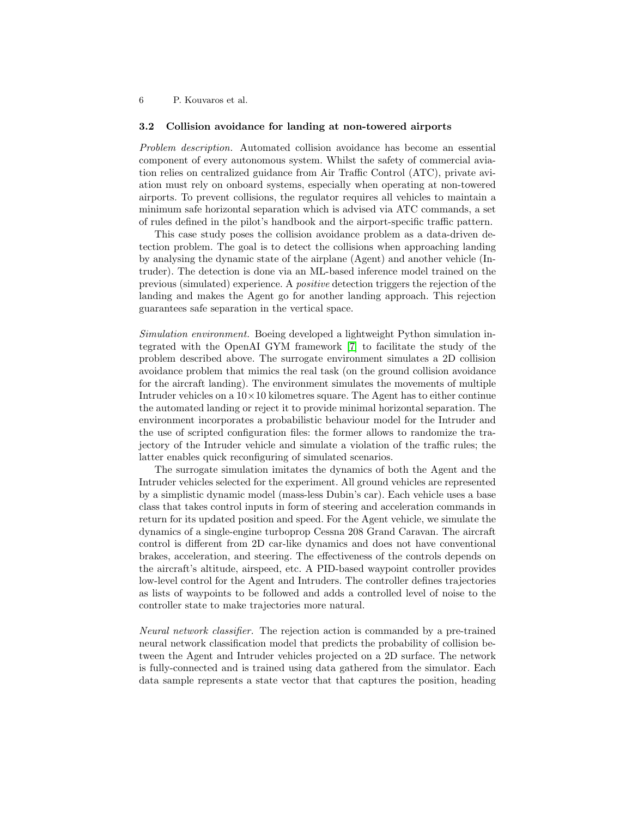#### 6 P. Kouvaros et al.

#### 3.2 Collision avoidance for landing at non-towered airports

Problem description. Automated collision avoidance has become an essential component of every autonomous system. Whilst the safety of commercial aviation relies on centralized guidance from Air Traffic Control (ATC), private aviation must rely on onboard systems, especially when operating at non-towered airports. To prevent collisions, the regulator requires all vehicles to maintain a minimum safe horizontal separation which is advised via ATC commands, a set of rules defined in the pilot's handbook and the airport-specific traffic pattern.

This case study poses the collision avoidance problem as a data-driven detection problem. The goal is to detect the collisions when approaching landing by analysing the dynamic state of the airplane (Agent) and another vehicle (Intruder). The detection is done via an ML-based inference model trained on the previous (simulated) experience. A positive detection triggers the rejection of the landing and makes the Agent go for another landing approach. This rejection guarantees safe separation in the vertical space.

Simulation environment. Boeing developed a lightweight Python simulation integrated with the OpenAI GYM framework [\[7\]](#page-8-10) to facilitate the study of the problem described above. The surrogate environment simulates a 2D collision avoidance problem that mimics the real task (on the ground collision avoidance for the aircraft landing). The environment simulates the movements of multiple Intruder vehicles on a  $10 \times 10$  kilometres square. The Agent has to either continue the automated landing or reject it to provide minimal horizontal separation. The environment incorporates a probabilistic behaviour model for the Intruder and the use of scripted configuration files: the former allows to randomize the trajectory of the Intruder vehicle and simulate a violation of the traffic rules; the latter enables quick reconfiguring of simulated scenarios.

The surrogate simulation imitates the dynamics of both the Agent and the Intruder vehicles selected for the experiment. All ground vehicles are represented by a simplistic dynamic model (mass-less Dubin's car). Each vehicle uses a base class that takes control inputs in form of steering and acceleration commands in return for its updated position and speed. For the Agent vehicle, we simulate the dynamics of a single-engine turboprop Cessna 208 Grand Caravan. The aircraft control is different from 2D car-like dynamics and does not have conventional brakes, acceleration, and steering. The effectiveness of the controls depends on the aircraft's altitude, airspeed, etc. A PID-based waypoint controller provides low-level control for the Agent and Intruders. The controller defines trajectories as lists of waypoints to be followed and adds a controlled level of noise to the controller state to make trajectories more natural.

Neural network classifier. The rejection action is commanded by a pre-trained neural network classification model that predicts the probability of collision between the Agent and Intruder vehicles projected on a 2D surface. The network is fully-connected and is trained using data gathered from the simulator. Each data sample represents a state vector that that captures the position, heading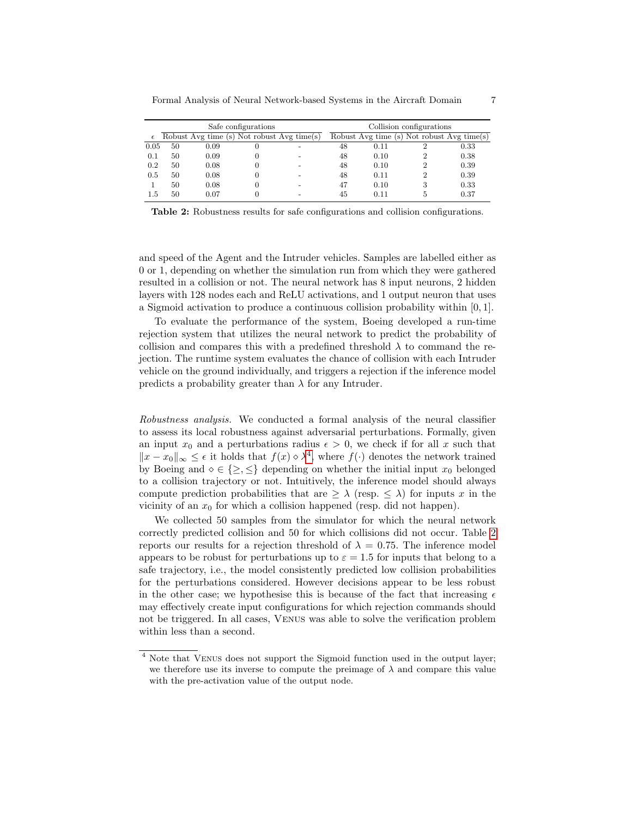<span id="page-6-1"></span>

|            | Safe configurations |                                            |   |  | Collision configurations |      |   |                                            |
|------------|---------------------|--------------------------------------------|---|--|--------------------------|------|---|--------------------------------------------|
| $\epsilon$ |                     | Robust Avg time (s) Not robust Avg time(s) |   |  |                          |      |   | Robust Avg time (s) Not robust Avg time(s) |
| 0.05       | 50                  | 0.09                                       |   |  | 48                       | 0.11 |   | 0.33                                       |
| 0.1        | 50                  | 0.09                                       |   |  | 48                       | 0.10 |   | 0.38                                       |
| 0.2        | 50                  | 0.08                                       | 0 |  | 48                       | 0.10 |   | 0.39                                       |
| 0.5        | 50                  | 0.08                                       |   |  | 48                       | 0.11 | າ | 0.39                                       |
|            | 50                  | 0.08                                       | 0 |  | 47                       | 0.10 | 3 | 0.33                                       |
| 1.5        | 50                  | 0.07                                       |   |  | 45                       | 0.11 |   | 0.37                                       |

Table 2: Robustness results for safe configurations and collision configurations.

and speed of the Agent and the Intruder vehicles. Samples are labelled either as 0 or 1, depending on whether the simulation run from which they were gathered resulted in a collision or not. The neural network has 8 input neurons, 2 hidden layers with 128 nodes each and ReLU activations, and 1 output neuron that uses a Sigmoid activation to produce a continuous collision probability within [0, 1].

To evaluate the performance of the system, Boeing developed a run-time rejection system that utilizes the neural network to predict the probability of collision and compares this with a predefined threshold  $\lambda$  to command the rejection. The runtime system evaluates the chance of collision with each Intruder vehicle on the ground individually, and triggers a rejection if the inference model predicts a probability greater than  $\lambda$  for any Intruder.

Robustness analysis. We conducted a formal analysis of the neural classifier to assess its local robustness against adversarial perturbations. Formally, given an input  $x_0$  and a perturbations radius  $\epsilon > 0$ , we check if for all x such that  $||x - x_0||_{\infty} \leq \epsilon$  it holds that  $f(x) \diamond \lambda^4$  $f(x) \diamond \lambda^4$ , where  $f(\cdot)$  denotes the network trained by Boeing and  $\diamond \in \{\geq, \leq\}$  depending on whether the initial input  $x_0$  belonged to a collision trajectory or not. Intuitively, the inference model should always compute prediction probabilities that are  $\geq \lambda$  (resp.  $\leq \lambda$ ) for inputs x in the vicinity of an  $x_0$  for which a collision happened (resp. did not happen).

We collected 50 samples from the simulator for which the neural network correctly predicted collision and 50 for which collisions did not occur. Table [2](#page-6-1) reports our results for a rejection threshold of  $\lambda = 0.75$ . The inference model appears to be robust for perturbations up to  $\varepsilon = 1.5$  for inputs that belong to a safe trajectory, i.e., the model consistently predicted low collision probabilities for the perturbations considered. However decisions appear to be less robust in the other case; we hypothesise this is because of the fact that increasing  $\epsilon$ may effectively create input configurations for which rejection commands should not be triggered. In all cases, Venus was able to solve the verification problem within less than a second.

<span id="page-6-0"></span><sup>&</sup>lt;sup>4</sup> Note that VENUS does not support the Sigmoid function used in the output layer; we therefore use its inverse to compute the preimage of  $\lambda$  and compare this value with the pre-activation value of the output node.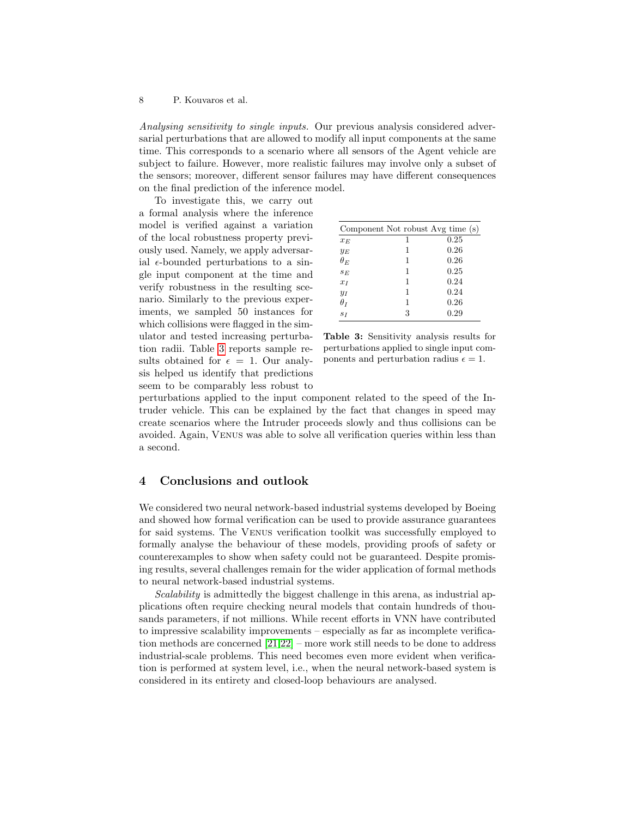Analysing sensitivity to single inputs. Our previous analysis considered adversarial perturbations that are allowed to modify all input components at the same time. This corresponds to a scenario where all sensors of the Agent vehicle are subject to failure. However, more realistic failures may involve only a subset of the sensors; moreover, different sensor failures may have different consequences on the final prediction of the inference model.

To investigate this, we carry out a formal analysis where the inference model is verified against a variation of the local robustness property previously used. Namely, we apply adversarial  $\epsilon$ -bounded perturbations to a single input component at the time and verify robustness in the resulting scenario. Similarly to the previous experiments, we sampled 50 instances for which collisions were flagged in the simulator and tested increasing perturbation radii. Table [3](#page-7-0) reports sample results obtained for  $\epsilon = 1$ . Our analysis helped us identify that predictions seem to be comparably less robust to

<span id="page-7-0"></span>

|            | Component Not robust Avg time (s) |      |
|------------|-----------------------------------|------|
| $x_F$      |                                   | 0.25 |
| $y_E$      | 1                                 | 0.26 |
| $\theta_E$ | 1                                 | 0.26 |
| $S_F$      | 1                                 | 0.25 |
| $x_I$      | 1                                 | 0.24 |
| $y_I$      | 1                                 | 0.24 |
| $\theta_I$ | 1                                 | 0.26 |
| $S_I$      | 3                                 | 0.29 |

Table 3: Sensitivity analysis results for perturbations applied to single input components and perturbation radius  $\epsilon = 1$ .

perturbations applied to the input component related to the speed of the Intruder vehicle. This can be explained by the fact that changes in speed may create scenarios where the Intruder proceeds slowly and thus collisions can be avoided. Again, Venus was able to solve all verification queries within less than a second.

## 4 Conclusions and outlook

We considered two neural network-based industrial systems developed by Boeing and showed how formal verification can be used to provide assurance guarantees for said systems. The Venus verification toolkit was successfully employed to formally analyse the behaviour of these models, providing proofs of safety or counterexamples to show when safety could not be guaranteed. Despite promising results, several challenges remain for the wider application of formal methods to neural network-based industrial systems.

Scalability is admittedly the biggest challenge in this arena, as industrial applications often require checking neural models that contain hundreds of thousands parameters, if not millions. While recent efforts in VNN have contributed to impressive scalability improvements – especially as far as incomplete verification methods are concerned [\[21,](#page-9-16)[22\]](#page-9-17) – more work still needs to be done to address industrial-scale problems. This need becomes even more evident when verification is performed at system level, i.e., when the neural network-based system is considered in its entirety and closed-loop behaviours are analysed.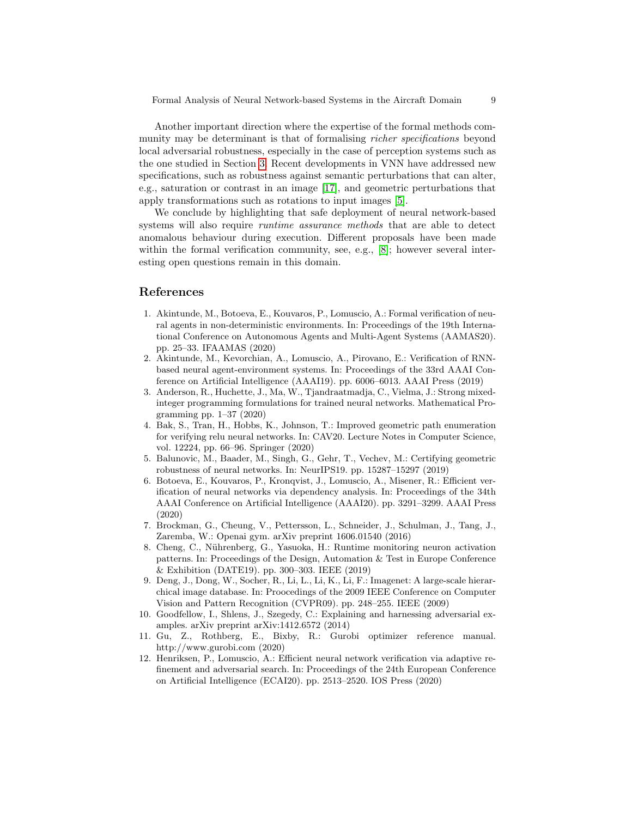Another important direction where the expertise of the formal methods community may be determinant is that of formalising *richer specifications* beyond local adversarial robustness, especially in the case of perception systems such as the one studied in Section [3.](#page-2-1) Recent developments in VNN have addressed new specifications, such as robustness against semantic perturbations that can alter, e.g., saturation or contrast in an image [\[17\]](#page-9-5), and geometric perturbations that apply transformations such as rotations to input images [\[5\]](#page-8-4).

We conclude by highlighting that safe deployment of neural network-based systems will also require *runtime assurance methods* that are able to detect anomalous behaviour during execution. Different proposals have been made within the formal verification community, see, e.g., [\[8\]](#page-8-11); however several interesting open questions remain in this domain.

# References

- <span id="page-8-6"></span>1. Akintunde, M., Botoeva, E., Kouvaros, P., Lomuscio, A.: Formal verification of neural agents in non-deterministic environments. In: Proceedings of the 19th International Conference on Autonomous Agents and Multi-Agent Systems (AAMAS20). pp. 25–33. IFAAMAS (2020)
- <span id="page-8-2"></span>2. Akintunde, M., Kevorchian, A., Lomuscio, A., Pirovano, E.: Verification of RNNbased neural agent-environment systems. In: Proceedings of the 33rd AAAI Conference on Artificial Intelligence (AAAI19). pp. 6006–6013. AAAI Press (2019)
- <span id="page-8-7"></span>3. Anderson, R., Huchette, J., Ma, W., Tjandraatmadja, C., Vielma, J.: Strong mixedinteger programming formulations for trained neural networks. Mathematical Programming pp. 1–37 (2020)
- <span id="page-8-3"></span>4. Bak, S., Tran, H., Hobbs, K., Johnson, T.: Improved geometric path enumeration for verifying relu neural networks. In: CAV20. Lecture Notes in Computer Science, vol. 12224, pp. 66–96. Springer (2020)
- <span id="page-8-4"></span>5. Balunovic, M., Baader, M., Singh, G., Gehr, T., Vechev, M.: Certifying geometric robustness of neural networks. In: NeurIPS19. pp. 15287–15297 (2019)
- <span id="page-8-1"></span>6. Botoeva, E., Kouvaros, P., Kronqvist, J., Lomuscio, A., Misener, R.: Efficient verification of neural networks via dependency analysis. In: Proceedings of the 34th AAAI Conference on Artificial Intelligence (AAAI20). pp. 3291–3299. AAAI Press (2020)
- <span id="page-8-10"></span>7. Brockman, G., Cheung, V., Pettersson, L., Schneider, J., Schulman, J., Tang, J., Zaremba, W.: Openai gym. arXiv preprint 1606.01540 (2016)
- <span id="page-8-11"></span>8. Cheng, C., Nührenberg, G., Yasuoka, H.: Runtime monitoring neuron activation patterns. In: Proceedings of the Design, Automation & Test in Europe Conference & Exhibition (DATE19). pp. 300–303. IEEE (2019)
- <span id="page-8-9"></span>9. Deng, J., Dong, W., Socher, R., Li, L., Li, K., Li, F.: Imagenet: A large-scale hierarchical image database. In: Proocedings of the 2009 IEEE Conference on Computer Vision and Pattern Recognition (CVPR09). pp. 248–255. IEEE (2009)
- <span id="page-8-0"></span>10. Goodfellow, I., Shlens, J., Szegedy, C.: Explaining and harnessing adversarial examples. arXiv preprint arXiv:1412.6572 (2014)
- <span id="page-8-8"></span>11. Gu, Z., Rothberg, E., Bixby, R.: Gurobi optimizer reference manual. http://www.gurobi.com (2020)
- <span id="page-8-5"></span>12. Henriksen, P., Lomuscio, A.: Efficient neural network verification via adaptive refinement and adversarial search. In: Proceedings of the 24th European Conference on Artificial Intelligence (ECAI20). pp. 2513–2520. IOS Press (2020)